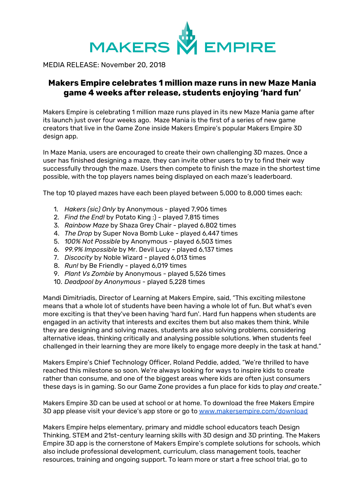

MEDIA RELEASE: November 20, 2018

## **Makers Empire celebrates 1 million maze runs in new Maze Mania game 4 weeks after release, students enjoying 'hard fun'**

Makers Empire is celebrating 1 million maze runs played in its new Maze Mania game after its launch just over four weeks ago. Maze Mania is the first of a series of new game creators that live in the Game Zone inside Makers Empire's popular Makers Empire 3D design app.

In Maze Mania, users are encouraged to create their own challenging 3D mazes. Once a user has finished designing a maze, they can invite other users to try to find their way successfully through the maze. Users then compete to finish the maze in the shortest time possible, with the top players names being displayed on each maze's leaderboard.

The top 10 played mazes have each been played between 5,000 to 8,000 times each:

- 1. *Hakers (sic) Only* by Anonymous played 7,906 times
- 2. *Find the End!* by Potato King :) played 7,815 times
- 3. *Rainbow Maze* by Shaza Grey Chair played 6,802 times
- 4. *The Drop* by Super Nova Bomb Luke played 6,447 times
- 5. *100% Not Possible* by Anonymous played 6,503 times
- 6. *99.9% Impossible* by Mr. Devil Lucy played 6,137 times
- 7. *Discocity* by Noble Wizard played 6,013 times
- 8. *Run!* by Be Friendly played 6,019 times
- 9. *Plant Vs Zombie* by Anonymous played 5,526 times
- 10. *Deadpool by Anonymous* played 5,228 times

Mandi Dimitriadis, Director of Learning at Makers Empire, said, "This exciting milestone means that a whole lot of students have been having a whole lot of fun. But what's even more exciting is that they've been having 'hard fun'. Hard fun happens when students are engaged in an activity that interests and excites them but also makes them think. While they are designing and solving mazes, students are also solving problems, considering alternative ideas, thinking critically and analysing possible solutions. When students feel challenged in their learning they are more likely to engage more deeply in the task at hand."

Makers Empire's Chief Technology Officer, Roland Peddie, added, "We're thrilled to have reached this milestone so soon. We're always looking for ways to inspire kids to create rather than consume, and one of the biggest areas where kids are often just consumers these days is in gaming. So our Game Zone provides a fun place for kids to play *and* create."

Makers Empire 3D can be used at school or at home. To download the free Makers Empire 3D app please visit your device's app store or go to [www.makersempire.com/download](http://www.makersempire.com/download)

Makers Empire helps elementary, primary and middle school educators teach Design Thinking, STEM and 21st-century learning skills with 3D design and 3D printing. The Makers Empire 3D app is the cornerstone of Makers Empire's complete solutions for schools, which also include professional development, curriculum, class management tools, teacher resources, training and ongoing support. To learn more or start a free school trial, go to